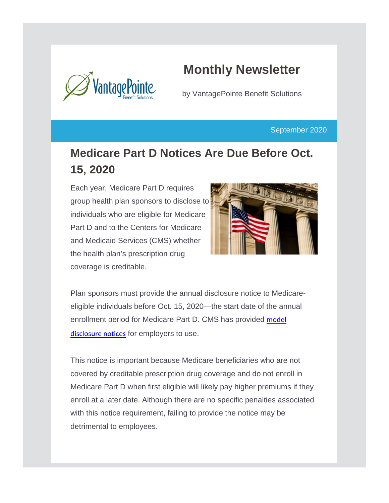

# **Monthly Newsletter**

by VantagePointe Benefit Solutions

September 2020

## **Medicare Part D Notices Are Due Before Oct. 15, 2020**

Each year, Medicare Part D requires group health plan sponsors to disclose to individuals who are eligible for Medicare Part D and to the Centers for Medicare and Medicaid Services (CMS) whether the health plan's prescription drug coverage is creditable.



Plan sponsors must provide the annual disclosure notice to Medicareeligible individuals before Oct. 15, 2020—the start date of the annual enrollment period for Medicare Part D. CMS has provided [model](https://www.cms.gov/Medicare/Prescription-Drug-Coverage/CreditableCoverage/Model-Notice-Letters.html)  [disclosure notices](https://www.cms.gov/Medicare/Prescription-Drug-Coverage/CreditableCoverage/Model-Notice-Letters.html) for employers to use.

This notice is important because Medicare beneficiaries who are not covered by creditable prescription drug coverage and do not enroll in Medicare Part D when first eligible will likely pay higher premiums if they enroll at a later date. Although there are no specific penalties associated with this notice requirement, failing to provide the notice may be detrimental to employees.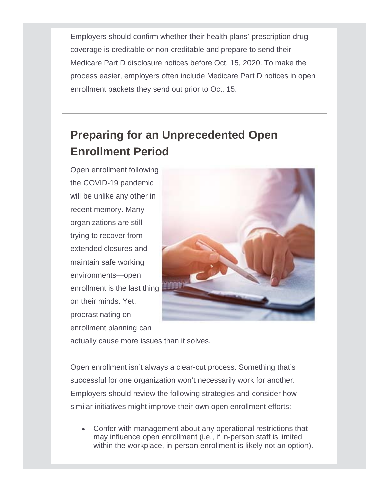Employers should confirm whether their health plans' prescription drug coverage is creditable or non-creditable and prepare to send their Medicare Part D disclosure notices before Oct. 15, 2020. To make the process easier, employers often include Medicare Part D notices in open enrollment packets they send out prior to Oct. 15.

## **Preparing for an Unprecedented Open Enrollment Period**

Open enrollment following the COVID-19 pandemic will be unlike any other in recent memory. Many organizations are still trying to recover from extended closures and maintain safe working environments—open enrollment is the last thing on their minds. Yet, procrastinating on enrollment planning can



actually cause more issues than it solves.

Open enrollment isn't always a clear-cut process. Something that's successful for one organization won't necessarily work for another. Employers should review the following strategies and consider how similar initiatives might improve their own open enrollment efforts:

• Confer with management about any operational restrictions that may influence open enrollment (i.e., if in-person staff is limited within the workplace, in-person enrollment is likely not an option).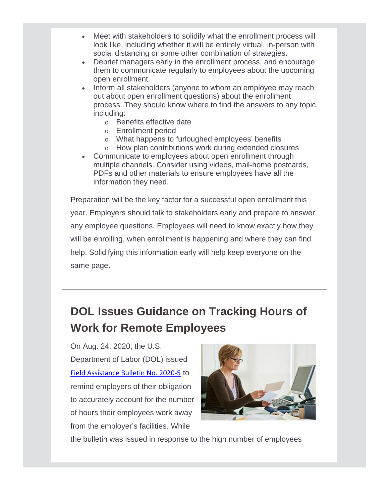- Meet with stakeholders to solidify what the enrollment process will look like, including whether it will be entirely virtual, in-person with social distancing or some other combination of strategies.
- Debrief managers early in the enrollment process, and encourage them to communicate regularly to employees about the upcoming open enrollment.
- Inform all stakeholders (anyone to whom an employee may reach out about open enrollment questions) about the enrollment process. They should know where to find the answers to any topic, including:
	- o Benefits effective date
	- o Enrollment period
	- o What happens to furloughed employees' benefits
	- o How plan contributions work during extended closures
- Communicate to employees about open enrollment through multiple channels. Consider using videos, mail-home postcards, PDFs and other materials to ensure employees have all the information they need.

Preparation will be the key factor for a successful open enrollment this year. Employers should talk to stakeholders early and prepare to answer any employee questions. Employees will need to know exactly how they will be enrolling, when enrollment is happening and where they can find help. Solidifying this information early will help keep everyone on the same page.

# **DOL Issues Guidance on Tracking Hours of Work for Remote Employees**

On Aug. 24, 2020, the U.S. Department of Labor (DOL) issued [Field Assistance Bulletin No. 2020-5](https://www.dol.gov/sites/dolgov/files/WHD/legacy/files/fab_2020_5.pdf) to remind employers of their obligation to accurately account for the number of hours their employees work away from the employer's facilities. While



the bulletin was issued in response to the high number of employees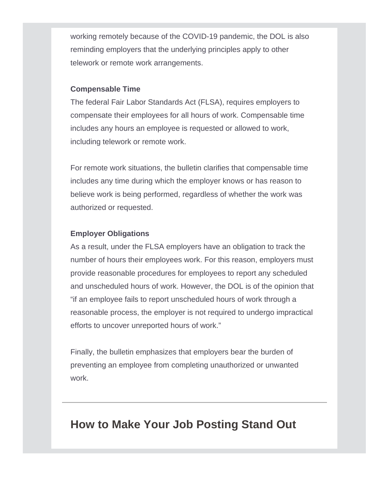working remotely because of the COVID-19 pandemic, the DOL is also reminding employers that the underlying principles apply to other telework or remote work arrangements.

#### **Compensable Time**

The federal Fair Labor Standards Act (FLSA), requires employers to compensate their employees for all hours of work. Compensable time includes any hours an employee is requested or allowed to work, including telework or remote work.

For remote work situations, the bulletin clarifies that compensable time includes any time during which the employer knows or has reason to believe work is being performed, regardless of whether the work was authorized or requested.

#### **Employer Obligations**

As a result, under the FLSA employers have an obligation to track the number of hours their employees work. For this reason, employers must provide reasonable procedures for employees to report any scheduled and unscheduled hours of work. However, the DOL is of the opinion that "if an employee fails to report unscheduled hours of work through a reasonable process, the employer is not required to undergo impractical efforts to uncover unreported hours of work."

Finally, the bulletin emphasizes that employers bear the burden of preventing an employee from completing unauthorized or unwanted work.

### **How to Make Your Job Posting Stand Out**